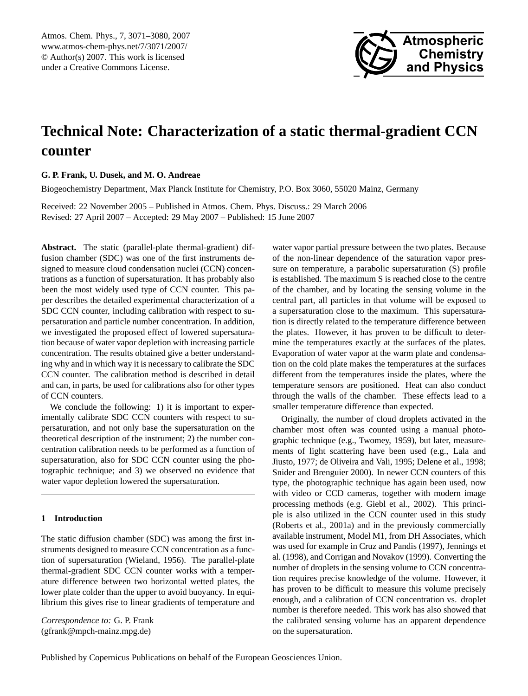<span id="page-0-0"></span>Atmos. Chem. Phys., 7, 3071–3080, 2007 www.atmos-chem-phys.net/7/3071/2007/ © Author(s) 2007. This work is licensed under a Creative Commons License.



# **Technical Note: Characterization of a static thermal-gradient CCN counter**

# **G. P. Frank, U. Dusek, and M. O. Andreae**

Biogeochemistry Department, Max Planck Institute for Chemistry, P.O. Box 3060, 55020 Mainz, Germany

Received: 22 November 2005 – Published in Atmos. Chem. Phys. Discuss.: 29 March 2006 Revised: 27 April 2007 – Accepted: 29 May 2007 – Published: 15 June 2007

**Abstract.** The static (parallel-plate thermal-gradient) diffusion chamber (SDC) was one of the first instruments designed to measure cloud condensation nuclei (CCN) concentrations as a function of supersaturation. It has probably also been the most widely used type of CCN counter. This paper describes the detailed experimental characterization of a SDC CCN counter, including calibration with respect to supersaturation and particle number concentration. In addition, we investigated the proposed effect of lowered supersaturation because of water vapor depletion with increasing particle concentration. The results obtained give a better understanding why and in which way it is necessary to calibrate the SDC CCN counter. The calibration method is described in detail and can, in parts, be used for calibrations also for other types of CCN counters.

We conclude the following: 1) it is important to experimentally calibrate SDC CCN counters with respect to supersaturation, and not only base the supersaturation on the theoretical description of the instrument; 2) the number concentration calibration needs to be performed as a function of supersaturation, also for SDC CCN counter using the photographic technique; and 3) we observed no evidence that water vapor depletion lowered the supersaturation.

# **1 Introduction**

The static diffusion chamber (SDC) was among the first instruments designed to measure CCN concentration as a function of supersaturation (Wieland, 1956). The parallel-plate thermal-gradient SDC CCN counter works with a temperature difference between two horizontal wetted plates, the lower plate colder than the upper to avoid buoyancy. In equilibrium this gives rise to linear gradients of temperature and

*Correspondence to:* G. P. Frank (gfrank@mpch-mainz.mpg.de)

water vapor partial pressure between the two plates. Because of the non-linear dependence of the saturation vapor pressure on temperature, a parabolic supersaturation (S) profile is established. The maximum S is reached close to the centre of the chamber, and by locating the sensing volume in the central part, all particles in that volume will be exposed to a supersaturation close to the maximum. This supersaturation is directly related to the temperature difference between the plates. However, it has proven to be difficult to determine the temperatures exactly at the surfaces of the plates. Evaporation of water vapor at the warm plate and condensation on the cold plate makes the temperatures at the surfaces different from the temperatures inside the plates, where the temperature sensors are positioned. Heat can also conduct through the walls of the chamber. These effects lead to a smaller temperature difference than expected.

Originally, the number of cloud droplets activated in the chamber most often was counted using a manual photographic technique (e.g., Twomey, 1959), but later, measurements of light scattering have been used (e.g., Lala and Jiusto, 1977; de Oliveira and Vali, 1995; Delene et al., 1998; Snider and Brenguier 2000). In newer CCN counters of this type, the photographic technique has again been used, now with video or CCD cameras, together with modern image processing methods (e.g. Giebl et al., 2002). This principle is also utilized in the CCN counter used in this study (Roberts et al., 2001a) and in the previously commercially available instrument, Model M1, from DH Associates, which was used for example in Cruz and Pandis (1997), Jennings et al. (1998), and Corrigan and Novakov (1999). Converting the number of droplets in the sensing volume to CCN concentration requires precise knowledge of the volume. However, it has proven to be difficult to measure this volume precisely enough, and a calibration of CCN concentration vs. droplet number is therefore needed. This work has also showed that the calibrated sensing volume has an apparent dependence on the supersaturation.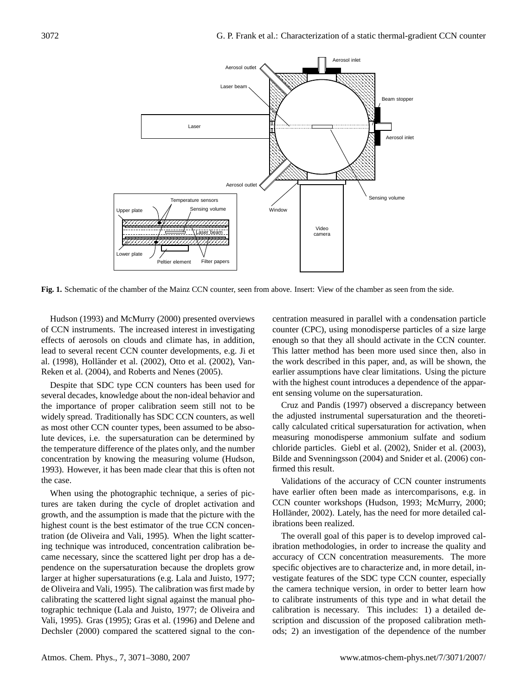

**Fig. 1.** Schematic of the chamber of the Mainz CCN counter, seen from above. Insert: View of the chamber as seen from the side.

Hudson (1993) and McMurry (2000) presented overviews of CCN instruments. The increased interest in investigating effects of aerosols on clouds and climate has, in addition, lead to several recent CCN counter developments, e.g. Ji et al. (1998), Holländer et al. (2002), Otto et al. (2002), Van-Reken et al. (2004), and Roberts and Nenes (2005).

Despite that SDC type CCN counters has been used for several decades, knowledge about the non-ideal behavior and the importance of proper calibration seem still not to be widely spread. Traditionally has SDC CCN counters, as well as most other CCN counter types, been assumed to be absolute devices, i.e. the supersaturation can be determined by the temperature difference of the plates only, and the number concentration by knowing the measuring volume (Hudson, 1993). However, it has been made clear that this is often not the case.

When using the photographic technique, a series of pictures are taken during the cycle of droplet activation and growth, and the assumption is made that the picture with the highest count is the best estimator of the true CCN concentration (de Oliveira and Vali, 1995). When the light scattering technique was introduced, concentration calibration became necessary, since the scattered light per drop has a dependence on the supersaturation because the droplets grow larger at higher supersaturations (e.g. Lala and Juisto, 1977; de Oliveira and Vali, 1995). The calibration was first made by calibrating the scattered light signal against the manual photographic technique (Lala and Juisto, 1977; de Oliveira and Vali, 1995). Gras (1995); Gras et al. (1996) and Delene and Dechsler (2000) compared the scattered signal to the concentration measured in parallel with a condensation particle counter (CPC), using monodisperse particles of a size large enough so that they all should activate in the CCN counter. This latter method has been more used since then, also in the work described in this paper, and, as will be shown, the earlier assumptions have clear limitations. Using the picture with the highest count introduces a dependence of the apparent sensing volume on the supersaturation.

Cruz and Pandis (1997) observed a discrepancy between the adjusted instrumental supersaturation and the theoretically calculated critical supersaturation for activation, when measuring monodisperse ammonium sulfate and sodium chloride particles. Giebl et al. (2002), Snider et al. (2003), Bilde and Svenningsson (2004) and Snider et al. (2006) confirmed this result.

Validations of the accuracy of CCN counter instruments have earlier often been made as intercomparisons, e.g. in CCN counter workshops (Hudson, 1993; McMurry, 2000; Holländer, 2002). Lately, has the need for more detailed calibrations been realized.

The overall goal of this paper is to develop improved calibration methodologies, in order to increase the quality and accuracy of CCN concentration measurements. The more specific objectives are to characterize and, in more detail, investigate features of the SDC type CCN counter, especially the camera technique version, in order to better learn how to calibrate instruments of this type and in what detail the calibration is necessary. This includes: 1) a detailed description and discussion of the proposed calibration methods; 2) an investigation of the dependence of the number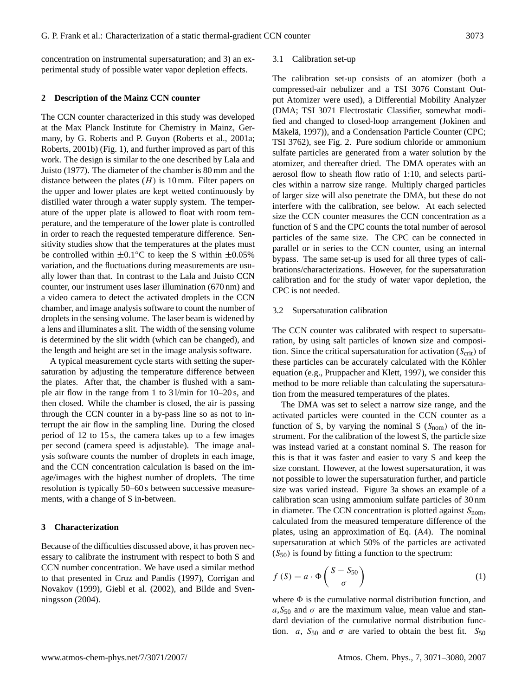concentration on instrumental supersaturation; and 3) an experimental study of possible water vapor depletion effects.

#### **2 Description of the Mainz CCN counter**

The CCN counter characterized in this study was developed at the Max Planck Institute for Chemistry in Mainz, Germany, by G. Roberts and P. Guyon (Roberts et al., 2001a; Roberts, 2001b) (Fig. 1), and further improved as part of this work. The design is similar to the one described by Lala and Juisto (1977). The diameter of the chamber is 80 mm and the distance between the plates  $(H)$  is 10 mm. Filter papers on the upper and lower plates are kept wetted continuously by distilled water through a water supply system. The temperature of the upper plate is allowed to float with room temperature, and the temperature of the lower plate is controlled in order to reach the requested temperature difference. Sensitivity studies show that the temperatures at the plates must be controlled within  $\pm 0.1$ °C to keep the S within  $\pm 0.05\%$ variation, and the fluctuations during measurements are usually lower than that. In contrast to the Lala and Juisto CCN counter, our instrument uses laser illumination (670 nm) and a video camera to detect the activated droplets in the CCN chamber, and image analysis software to count the number of droplets in the sensing volume. The laser beam is widened by a lens and illuminates a slit. The width of the sensing volume is determined by the slit width (which can be changed), and the length and height are set in the image analysis software.

A typical measurement cycle starts with setting the supersaturation by adjusting the temperature difference between the plates. After that, the chamber is flushed with a sample air flow in the range from 1 to 3 l/min for 10–20 s, and then closed. While the chamber is closed, the air is passing through the CCN counter in a by-pass line so as not to interrupt the air flow in the sampling line. During the closed period of 12 to 15 s, the camera takes up to a few images per second (camera speed is adjustable). The image analysis software counts the number of droplets in each image, and the CCN concentration calculation is based on the image/images with the highest number of droplets. The time resolution is typically 50–60 s between successive measurements, with a change of S in-between.

## **3 Characterization**

Because of the difficulties discussed above, it has proven necessary to calibrate the instrument with respect to both S and CCN number concentration. We have used a similar method to that presented in Cruz and Pandis (1997), Corrigan and Novakov (1999), Giebl et al. (2002), and Bilde and Svenningsson (2004).

## 3.1 Calibration set-up

The calibration set-up consists of an atomizer (both a compressed-air nebulizer and a TSI 3076 Constant Output Atomizer were used), a Differential Mobility Analyzer (DMA; TSI 3071 Electrostatic Classifier, somewhat modified and changed to closed-loop arrangement (Jokinen and Mäkelä, 1997)), and a Condensation Particle Counter (CPC; TSI 3762), see Fig. 2. Pure sodium chloride or ammonium sulfate particles are generated from a water solution by the atomizer, and thereafter dried. The DMA operates with an aerosol flow to sheath flow ratio of 1:10, and selects particles within a narrow size range. Multiply charged particles of larger size will also penetrate the DMA, but these do not interfere with the calibration, see below. At each selected size the CCN counter measures the CCN concentration as a function of S and the CPC counts the total number of aerosol particles of the same size. The CPC can be connected in parallel or in series to the CCN counter, using an internal bypass. The same set-up is used for all three types of calibrations/characterizations. However, for the supersaturation calibration and for the study of water vapor depletion, the CPC is not needed.

## 3.2 Supersaturation calibration

The CCN counter was calibrated with respect to supersaturation, by using salt particles of known size and composition. Since the critical supersaturation for activation  $(S_{\text{crit}})$  of these particles can be accurately calculated with the Köhler equation (e.g., Pruppacher and Klett, 1997), we consider this method to be more reliable than calculating the supersaturation from the measured temperatures of the plates.

The DMA was set to select a narrow size range, and the activated particles were counted in the CCN counter as a function of S, by varying the nominal S  $(S<sub>nom</sub>)$  of the instrument. For the calibration of the lowest S, the particle size was instead varied at a constant nominal S. The reason for this is that it was faster and easier to vary S and keep the size constant. However, at the lowest supersaturation, it was not possible to lower the supersaturation further, and particle size was varied instead. Figure 3a shows an example of a calibration scan using ammonium sulfate particles of 30 nm in diameter. The CCN concentration is plotted against  $S_{\text{nom}}$ , calculated from the measured temperature difference of the plates, using an approximation of Eq. (A4). The nominal supersaturation at which 50% of the particles are activated  $(S_{50})$  is found by fitting a function to the spectrum:

$$
f(S) = a \cdot \Phi\left(\frac{S - S_{50}}{\sigma}\right) \tag{1}
$$

where  $\Phi$  is the cumulative normal distribution function, and  $a, S_{50}$  and  $\sigma$  are the maximum value, mean value and standard deviation of the cumulative normal distribution function. *a*,  $S_{50}$  and  $\sigma$  are varied to obtain the best fit.  $S_{50}$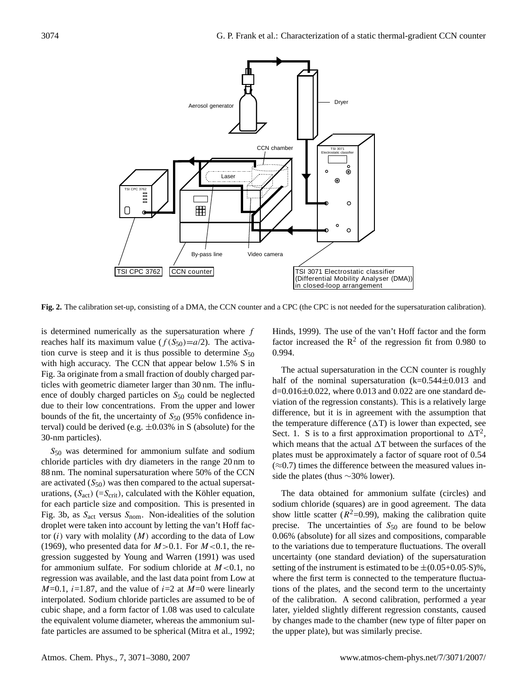

**Fig. 2.** The calibration set-up, consisting of a DMA, the CCN counter and a CPC (the CPC is not needed for the supersaturation calibration).

is determined numerically as the supersaturation where  $f$ reaches half its maximum value  $(f(S_{50})=a/2)$ . The activation curve is steep and it is thus possible to determine  $S_{50}$ with high accuracy. The CCN that appear below 1.5% S in Fig. 3a originate from a small fraction of doubly charged particles with geometric diameter larger than 30 nm. The influence of doubly charged particles on  $S_{50}$  could be neglected due to their low concentrations. From the upper and lower bounds of the fit, the uncertainty of  $S_{50}$  (95% confidence interval) could be derived (e.g.  $\pm 0.03\%$  in S (absolute) for the 30-nm particles).

 $S_{50}$  was determined for ammonium sulfate and sodium chloride particles with dry diameters in the range 20 nm to 88 nm. The nominal supersaturation where 50% of the CCN are activated  $(S_{50})$  was then compared to the actual supersaturations,  $(S_{\text{act}})$  (= $S_{\text{crit}}$ ), calculated with the Köhler equation, for each particle size and composition. This is presented in Fig. 3b, as  $S_{\text{act}}$  versus  $S_{\text{nom}}$ . Non-idealities of the solution droplet were taken into account by letting the van't Hoff factor  $(i)$  vary with molality  $(M)$  according to the data of Low (1969), who presented data for  $M>0.1$ . For  $M<0.1$ , the regression suggested by Young and Warren (1991) was used for ammonium sulfate. For sodium chloride at  $M < 0.1$ , no regression was available, and the last data point from Low at  $M=0.1$ ,  $i=1.87$ , and the value of  $i=2$  at  $M=0$  were linearly interpolated. Sodium chloride particles are assumed to be of cubic shape, and a form factor of 1.08 was used to calculate the equivalent volume diameter, whereas the ammonium sulfate particles are assumed to be spherical (Mitra et al., 1992; Hinds, 1999). The use of the van't Hoff factor and the form factor increased the  $\mathbb{R}^2$  of the regression fit from 0.980 to 0.994.

The actual supersaturation in the CCN counter is roughly half of the nominal supersaturation  $(k=0.544\pm0.013$  and  $d=0.016\pm0.022$ , where 0.013 and 0.022 are one standard deviation of the regression constants). This is a relatively large difference, but it is in agreement with the assumption that the temperature difference  $(\Delta T)$  is lower than expected, see Sect. 1. S is to a first approximation proportional to  $\Delta T^2$ , which means that the actual  $\Delta T$  between the surfaces of the plates must be approximately a factor of square root of 0.54  $(\approx 0.7)$  times the difference between the measured values inside the plates (thus ∼30% lower).

The data obtained for ammonium sulfate (circles) and sodium chloride (squares) are in good agreement. The data show little scatter ( $R^2$ =0.99), making the calibration quite precise. The uncertainties of  $S_{50}$  are found to be below 0.06% (absolute) for all sizes and compositions, comparable to the variations due to temperature fluctuations. The overall uncertainty (one standard deviation) of the supersaturation setting of the instrument is estimated to be  $\pm (0.05+0.05 \cdot S)\%$ , where the first term is connected to the temperature fluctuations of the plates, and the second term to the uncertainty of the calibration. A second calibration, performed a year later, yielded slightly different regression constants, caused by changes made to the chamber (new type of filter paper on the upper plate), but was similarly precise.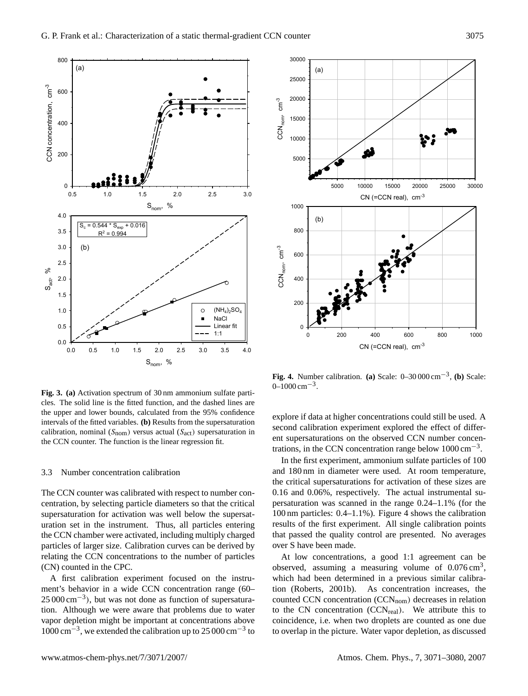



**Fig. 3. (a)** Activation spectrum of 30 nm ammonium sulfate particles. The solid line is the fitted function, and the dashed lines are the upper and lower bounds, calculated from the 95% confidence intervals of the fitted variables. **(b)** Results from the supersaturation calibration, nominal  $(S_{\text{nom}})$  versus actual  $(S_{\text{act}})$  supersaturation in the CCN counter. The function is the linear regression fit.

#### 3.3 Number concentration calibration

The CCN counter was calibrated with respect to number concentration, by selecting particle diameters so that the critical supersaturation for activation was well below the supersaturation set in the instrument. Thus, all particles entering the CCN chamber were activated, including multiply charged particles of larger size. Calibration curves can be derived by relating the CCN concentrations to the number of particles (CN) counted in the CPC.

A first calibration experiment focused on the instrument's behavior in a wide CCN concentration range (60– 25 000 cm<sup>-3</sup>), but was not done as function of supersaturation. Although we were aware that problems due to water vapor depletion might be important at concentrations above 1000 cm−<sup>3</sup> , we extended the calibration up to 25 000 cm−<sup>3</sup> to

**Fig. 4.** Number calibration. **(a)** Scale: 0–30 000 cm−<sup>3</sup> , **(b)** Scale:  $0-1000$  cm<sup>-3</sup>.

explore if data at higher concentrations could still be used. A second calibration experiment explored the effect of different supersaturations on the observed CCN number concentrations, in the CCN concentration range below  $1000 \text{ cm}^{-3}$ .

In the first experiment, ammonium sulfate particles of 100 and 180 nm in diameter were used. At room temperature, the critical supersaturations for activation of these sizes are 0.16 and 0.06%, respectively. The actual instrumental supersaturation was scanned in the range 0.24–1.1% (for the 100 nm particles: 0.4–1.1%). Figure 4 shows the calibration results of the first experiment. All single calibration points that passed the quality control are presented. No averages over S have been made.

At low concentrations, a good 1:1 agreement can be observed, assuming a measuring volume of  $0.076 \text{ cm}^3$ , which had been determined in a previous similar calibration (Roberts, 2001b). As concentration increases, the counted CCN concentration (CCN<sub>nom</sub>) decreases in relation to the CN concentration  $(CCN_{real})$ . We attribute this to coincidence, i.e. when two droplets are counted as one due to overlap in the picture. Water vapor depletion, as discussed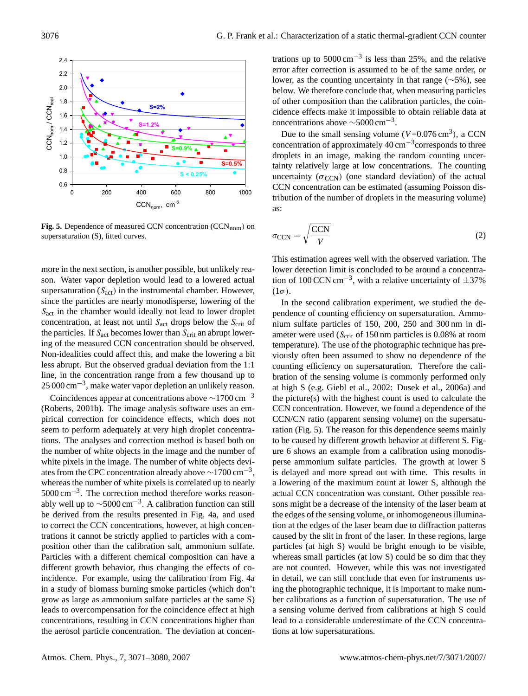

Fig. 5. Dependence of measured CCN concentration (CCN<sub>nom</sub>) on supersaturation (S), fitted curves.

more in the next section, is another possible, but unlikely reason. Water vapor depletion would lead to a lowered actual supersaturation  $(S_{\text{act}})$  in the instrumental chamber. However, since the particles are nearly monodisperse, lowering of the S<sub>act</sub> in the chamber would ideally not lead to lower droplet concentration, at least not until  $S_{\text{act}}$  drops below the  $S_{\text{crit}}$  of the particles. If  $S_{\text{act}}$  becomes lower than  $S_{\text{crit}}$  an abrupt lowering of the measured CCN concentration should be observed. Non-idealities could affect this, and make the lowering a bit less abrupt. But the observed gradual deviation from the 1:1 line, in the concentration range from a few thousand up to 25 000 cm<sup>-3</sup>, make water vapor depletion an unlikely reason.

Coincidences appear at concentrations above  $\sim$ 1700 cm<sup>-3</sup> (Roberts, 2001b). The image analysis software uses an empirical correction for coincidence effects, which does not seem to perform adequately at very high droplet concentrations. The analyses and correction method is based both on the number of white objects in the image and the number of white pixels in the image. The number of white objects deviates from the CPC concentration already above  $\sim$ 1700 cm<sup>-3</sup>, whereas the number of white pixels is correlated up to nearly 5000 cm−<sup>3</sup> . The correction method therefore works reasonably well up to  $\sim$ 5000 cm<sup>-3</sup>. A calibration function can still be derived from the results presented in Fig. 4a, and used to correct the CCN concentrations, however, at high concentrations it cannot be strictly applied to particles with a composition other than the calibration salt, ammonium sulfate. Particles with a different chemical composition can have a different growth behavior, thus changing the effects of coincidence. For example, using the calibration from Fig. 4a in a study of biomass burning smoke particles (which don't grow as large as ammonium sulfate particles at the same S) leads to overcompensation for the coincidence effect at high concentrations, resulting in CCN concentrations higher than the aerosol particle concentration. The deviation at concen-

trations up to  $5000 \text{ cm}^{-3}$  is less than 25%, and the relative error after correction is assumed to be of the same order, or lower, as the counting uncertainty in that range (∼5%), see below. We therefore conclude that, when measuring particles of other composition than the calibration particles, the coincidence effects make it impossible to obtain reliable data at concentrations above  $\sim$ 5000 cm<sup>-3</sup>.

Due to the small sensing volume  $(V=0.076 \text{ cm}^3)$ , a CCN concentration of approximately 40 cm−<sup>3</sup> corresponds to three droplets in an image, making the random counting uncertainty relatively large at low concentrations. The counting uncertainty ( $\sigma$ <sub>CCN</sub>) (one standard deviation) of the actual CCN concentration can be estimated (assuming Poisson distribution of the number of droplets in the measuring volume) as:

$$
\sigma_{\rm CCN} = \sqrt{\frac{\rm CCN}{V}}\tag{2}
$$

This estimation agrees well with the observed variation. The lower detection limit is concluded to be around a concentration of 100 CCN cm<sup>-3</sup>, with a relative uncertainty of  $\pm$ 37%  $(1\sigma)$ .

In the second calibration experiment, we studied the dependence of counting efficiency on supersaturation. Ammonium sulfate particles of 150, 200, 250 and 300 nm in diameter were used ( $S_{\text{crit}}$  of 150 nm particles is 0.08% at room temperature). The use of the photographic technique has previously often been assumed to show no dependence of the counting efficiency on supersaturation. Therefore the calibration of the sensing volume is commonly performed only at high S (e.g. Giebl et al., 2002: Dusek et al., 2006a) and the picture(s) with the highest count is used to calculate the CCN concentration. However, we found a dependence of the CCN/CN ratio (apparent sensing volume) on the supersaturation (Fig. 5). The reason for this dependence seems mainly to be caused by different growth behavior at different S. Figure 6 shows an example from a calibration using monodisperse ammonium sulfate particles. The growth at lower S is delayed and more spread out with time. This results in a lowering of the maximum count at lower S, although the actual CCN concentration was constant. Other possible reasons might be a decrease of the intensity of the laser beam at the edges of the sensing volume, or inhomogeneous illumination at the edges of the laser beam due to diffraction patterns caused by the slit in front of the laser. In these regions, large particles (at high S) would be bright enough to be visible, whereas small particles (at low S) could be so dim that they are not counted. However, while this was not investigated in detail, we can still conclude that even for instruments using the photographic technique, it is important to make number calibrations as a function of supersaturation. The use of a sensing volume derived from calibrations at high S could lead to a considerable underestimate of the CCN concentrations at low supersaturations.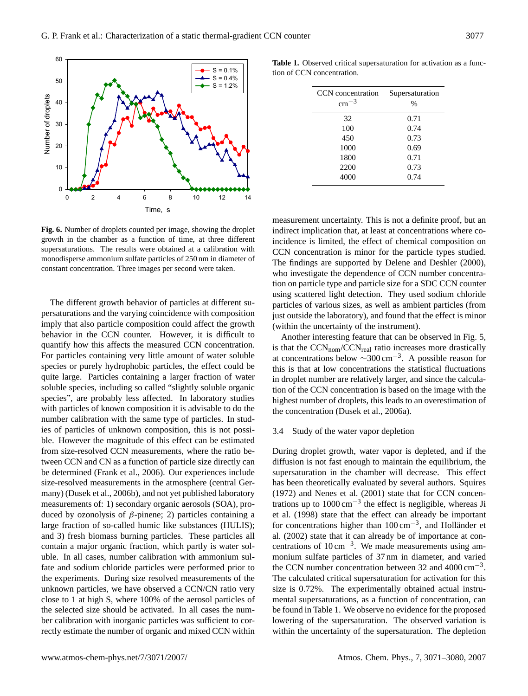

**Fig. 6.** Number of droplets counted per image, showing the droplet growth in the chamber as a function of time, at three different supersaturations. The results were obtained at a calibration with monodisperse ammonium sulfate particles of 250 nm in diameter of constant concentration. Three images per second were taken.

The different growth behavior of particles at different supersaturations and the varying coincidence with composition imply that also particle composition could affect the growth behavior in the CCN counter. However, it is difficult to quantify how this affects the measured CCN concentration. For particles containing very little amount of water soluble species or purely hydrophobic particles, the effect could be quite large. Particles containing a larger fraction of water soluble species, including so called "slightly soluble organic species", are probably less affected. In laboratory studies with particles of known composition it is advisable to do the number calibration with the same type of particles. In studies of particles of unknown composition, this is not possible. However the magnitude of this effect can be estimated from size-resolved CCN measurements, where the ratio between CCN and CN as a function of particle size directly can be determined (Frank et al., 2006). Our experiences include size-resolved measurements in the atmosphere (central Germany) (Dusek et al., 2006b), and not yet published laboratory measurements of: 1) secondary organic aerosols (SOA), produced by ozonolysis of  $\beta$ -pinene; 2) particles containing a large fraction of so-called humic like substances (HULIS); and 3) fresh biomass burning particles. These particles all contain a major organic fraction, which partly is water soluble. In all cases, number calibration with ammonium sulfate and sodium chloride particles were performed prior to the experiments. During size resolved measurements of the unknown particles, we have observed a CCN/CN ratio very close to 1 at high S, where 100% of the aerosol particles of the selected size should be activated. In all cases the number calibration with inorganic particles was sufficient to correctly estimate the number of organic and mixed CCN within

**Table 1.** Observed critical supersaturation for activation as a function of CCN concentration.

| CCN concentration<br>$cm-3$ | Supersaturation<br>$\frac{0}{0}$ |
|-----------------------------|----------------------------------|
| 32                          | 0.71                             |
| 100                         | 0.74                             |
| 450                         | 0.73                             |
| 1000                        | 0.69                             |
| 1800                        | 0.71                             |
| 2200                        | 0.73                             |
| 4000                        | 0.74                             |

measurement uncertainty. This is not a definite proof, but an indirect implication that, at least at concentrations where coincidence is limited, the effect of chemical composition on CCN concentration is minor for the particle types studied. The findings are supported by Delene and Deshler (2000), who investigate the dependence of CCN number concentration on particle type and particle size for a SDC CCN counter using scattered light detection. They used sodium chloride particles of various sizes, as well as ambient particles (from just outside the laboratory), and found that the effect is minor (within the uncertainty of the instrument).

Another interesting feature that can be observed in Fig. 5, is that the  $CCN_{\text{nom}}/CCN_{\text{real}}$  ratio increases more drastically at concentrations below ∼300 cm−<sup>3</sup> . A possible reason for this is that at low concentrations the statistical fluctuations in droplet number are relatively larger, and since the calculation of the CCN concentration is based on the image with the highest number of droplets, this leads to an overestimation of the concentration (Dusek et al., 2006a).

## 3.4 Study of the water vapor depletion

During droplet growth, water vapor is depleted, and if the diffusion is not fast enough to maintain the equilibrium, the supersaturation in the chamber will decrease. This effect has been theoretically evaluated by several authors. Squires (1972) and Nenes et al. (2001) state that for CCN concentrations up to  $1000 \text{ cm}^{-3}$  the effect is negligible, whereas Ji et al. (1998) state that the effect can already be important for concentrations higher than  $100 \text{ cm}^{-3}$ , and Holländer et al. (2002) state that it can already be of importance at concentrations of 10 cm−<sup>3</sup> . We made measurements using ammonium sulfate particles of 37 nm in diameter, and varied the CCN number concentration between 32 and 4000 cm−<sup>3</sup> . The calculated critical supersaturation for activation for this size is 0.72%. The experimentally obtained actual instrumental supersaturations, as a function of concentration, can be found in Table 1. We observe no evidence for the proposed lowering of the supersaturation. The observed variation is within the uncertainty of the supersaturation. The depletion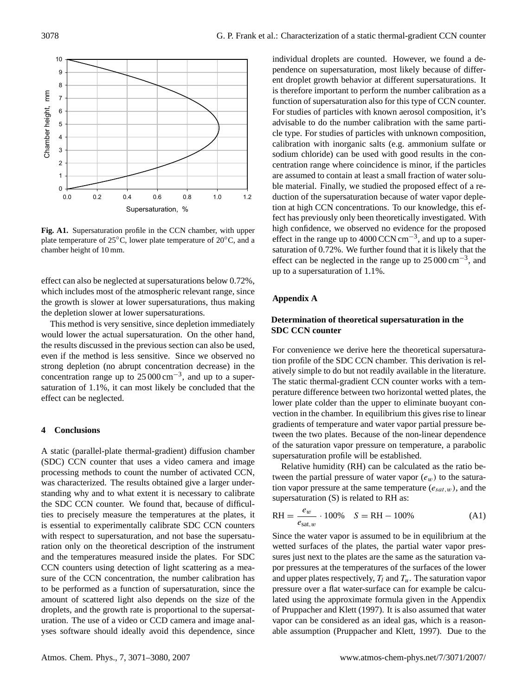

**Fig. A1.** Supersaturation profile in the CCN chamber, with upper plate temperature of 25◦C, lower plate temperature of 20◦C, and a chamber height of 10 mm.

effect can also be neglected at supersaturations below 0.72%, which includes most of the atmospheric relevant range, since the growth is slower at lower supersaturations, thus making the depletion slower at lower supersaturations.

This method is very sensitive, since depletion immediately would lower the actual supersaturation. On the other hand, the results discussed in the previous section can also be used, even if the method is less sensitive. Since we observed no strong depletion (no abrupt concentration decrease) in the concentration range up to  $25000 \text{ cm}^{-3}$ , and up to a supersaturation of 1.1%, it can most likely be concluded that the effect can be neglected.

#### **4 Conclusions**

A static (parallel-plate thermal-gradient) diffusion chamber (SDC) CCN counter that uses a video camera and image processing methods to count the number of activated CCN, was characterized. The results obtained give a larger understanding why and to what extent it is necessary to calibrate the SDC CCN counter. We found that, because of difficulties to precisely measure the temperatures at the plates, it is essential to experimentally calibrate SDC CCN counters with respect to supersaturation, and not base the supersaturation only on the theoretical description of the instrument and the temperatures measured inside the plates. For SDC CCN counters using detection of light scattering as a measure of the CCN concentration, the number calibration has to be performed as a function of supersaturation, since the amount of scattered light also depends on the size of the droplets, and the growth rate is proportional to the supersaturation. The use of a video or CCD camera and image analyses software should ideally avoid this dependence, since individual droplets are counted. However, we found a dependence on supersaturation, most likely because of different droplet growth behavior at different supersaturations. It is therefore important to perform the number calibration as a function of supersaturation also for this type of CCN counter. For studies of particles with known aerosol composition, it's advisable to do the number calibration with the same particle type. For studies of particles with unknown composition, calibration with inorganic salts (e.g. ammonium sulfate or sodium chloride) can be used with good results in the concentration range where coincidence is minor, if the particles are assumed to contain at least a small fraction of water soluble material. Finally, we studied the proposed effect of a reduction of the supersaturation because of water vapor depletion at high CCN concentrations. To our knowledge, this effect has previously only been theoretically investigated. With high confidence, we observed no evidence for the proposed effect in the range up to 4000 CCN cm<sup>-3</sup>, and up to a supersaturation of 0.72%. We further found that it is likely that the effect can be neglected in the range up to  $25000 \text{ cm}^{-3}$ , and up to a supersaturation of 1.1%.

# **Appendix A**

# **Determination of theoretical supersaturation in the SDC CCN counter**

For convenience we derive here the theoretical supersaturation profile of the SDC CCN chamber. This derivation is relatively simple to do but not readily available in the literature. The static thermal-gradient CCN counter works with a temperature difference between two horizontal wetted plates, the lower plate colder than the upper to eliminate buoyant convection in the chamber. In equilibrium this gives rise to linear gradients of temperature and water vapor partial pressure between the two plates. Because of the non-linear dependence of the saturation vapor pressure on temperature, a parabolic supersaturation profile will be established.

Relative humidity (RH) can be calculated as the ratio between the partial pressure of water vapor  $(e_w)$  to the saturation vapor pressure at the same temperature  $(e_{sat,w})$ , and the supersaturation (S) is related to RH as:

$$
RH = \frac{e_w}{e_{\text{sat},w}} \cdot 100\% \quad S = RH - 100\% \tag{A1}
$$

Since the water vapor is assumed to be in equilibrium at the wetted surfaces of the plates, the partial water vapor pressures just next to the plates are the same as the saturation vapor pressures at the temperatures of the surfaces of the lower and upper plates respectively,  $T_l$  and  $T_u$ . The saturation vapor pressure over a flat water-surface can for example be calculated using the approximate formula given in the Appendix of Pruppacher and Klett (1997). It is also assumed that water vapor can be considered as an ideal gas, which is a reasonable assumption (Pruppacher and Klett, 1997). Due to the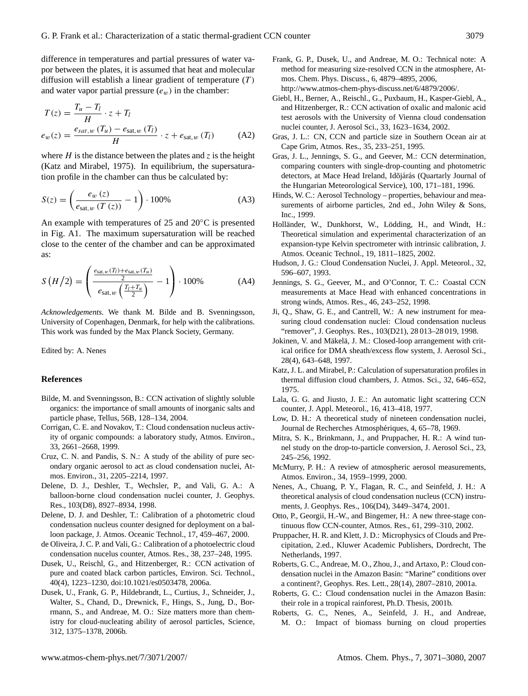difference in temperatures and partial pressures of water vapor between the plates, it is assumed that heat and molecular diffusion will establish a linear gradient of temperature  $(T)$ and water vapor partial pressure  $(e_w)$  in the chamber:

$$
T(z) = \frac{T_u - T_l}{H} \cdot z + T_l
$$
  
\n
$$
e_w(z) = \frac{e_{sat,w} (T_u) - e_{sat,w} (T_l)}{H} \cdot z + e_{sat,w} (T_l)
$$
 (A2)

where  $H$  is the distance between the plates and z is the height (Katz and Mirabel, 1975). In equilibrium, the supersaturation profile in the chamber can thus be calculated by:

$$
S(z) = \left(\frac{e_w(z)}{e_{\text{sat},w}(T(z))} - 1\right) \cdot 100\%
$$
 (A3)

An example with temperatures of 25 and 20◦C is presented in Fig. A1. The maximum supersaturation will be reached close to the center of the chamber and can be approximated as:

$$
S(H/2) = \left(\frac{\frac{e_{\text{sat},w}(T_l) + e_{\text{sat},w}(T_u)}{2}}{e_{\text{sat},w}\left(\frac{T_l + T_u}{2}\right)} - 1\right) \cdot 100\%
$$
 (A4)

*Acknowledgements.* We thank M. Bilde and B. Svenningsson, University of Copenhagen, Denmark, for help with the calibrations. This work was funded by the Max Planck Society, Germany.

Edited by: A. Nenes

## **References**

- Bilde, M. and Svenningsson, B.: CCN activation of slightly soluble organics: the importance of small amounts of inorganic salts and particle phase, Tellus, 56B, 128–134, 2004.
- Corrigan, C. E. and Novakov, T.: Cloud condensation nucleus activity of organic compounds: a laboratory study, Atmos. Environ., 33, 2661–2668, 1999.
- Cruz, C. N. and Pandis, S. N.: A study of the ability of pure secondary organic aerosol to act as cloud condensation nuclei, Atmos. Environ., 31, 2205–2214, 1997.
- Delene, D. J., Deshler, T., Wechsler, P., and Vali, G. A.: A balloon-borne cloud condensation nuclei counter, J. Geophys. Res., 103(D8), 8927–8934, 1998.
- Delene, D. J. and Deshler, T.: Calibration of a photometric cloud condensation nucleus counter designed for deployment on a balloon package, J. Atmos. Oceanic Technol., 17, 459–467, 2000.
- de Oliveira, J. C. P. and Vali, G.: Calibration of a photoelectric cloud condensation nucelus counter, Atmos. Res., 38, 237–248, 1995.
- Dusek, U., Reischl, G., and Hitzenberger, R.: CCN activation of pure and coated black carbon particles, Environ. Sci. Technol., 40(4), 1223–1230, doi:10.1021/es0503478, 2006a.
- Dusek, U., Frank, G. P., Hildebrandt, L., Curtius, J., Schneider, J., Walter, S., Chand, D., Drewnick, F., Hings, S., Jung, D., Borrmann, S., and Andreae, M. O.: Size matters more than chemistry for cloud-nucleating ability of aerosol particles, Science, 312, 1375–1378, 2006b.
- Frank, G. P., Dusek, U., and Andreae, M. O.: Technical note: A method for measuring size-resolved CCN in the atmosphere, Atmos. Chem. Phys. Discuss., 6, 4879–4895, 2006, [http://www.atmos-chem-phys-discuss.net/6/4879/2006/.](http://www.atmos-chem-phys-discuss.net/6/4879/2006/)
- Giebl, H., Berner, A., Reischl., G., Puxbaum, H., Kasper-Giebl, A., and Hitzenberger, R.: CCN activation of oxalic and malonic acid test aerosols with the University of Vienna cloud condensation nuclei counter, J. Aerosol Sci., 33, 1623–1634, 2002.
- Gras, J. L.: CN, CCN and particle size in Southern Ocean air at Cape Grim, Atmos. Res., 35, 233–251, 1995.
- Gras, J. L., Jennings, S. G., and Geever, M.: CCN determination, comparing counters with single-drop-counting and photometric detectors, at Mace Head Ireland, Idojárás (Quartarly Journal of the Hungarian Meteorological Service), 100, 171–181, 1996.
- Hinds, W. C.: Aerosol Technology properties, behaviour and measurements of airborne particles, 2nd ed., John Wiley & Sons, Inc., 1999.
- Holländer, W., Dunkhorst, W., Lödding, H., and Windt, H.: Theoretical simulation and experimental characterization of an expansion-type Kelvin spectrometer with intrinsic calibration, J. Atmos. Oceanic Technol., 19, 1811–1825, 2002.
- Hudson, J. G.: Cloud Condensation Nuclei, J. Appl. Meteorol., 32, 596–607, 1993.
- Jennings, S. G., Geever, M., and O'Connor, T. C.: Coastal CCN measurements at Mace Head with enhanced concentrations in strong winds, Atmos. Res., 46, 243–252, 1998.
- Ji, Q., Shaw, G. E., and Cantrell, W.: A new instrument for measuring cloud condensation nuclei: Cloud condensation nucleus "remover", J. Geophys. Res., 103(D21), 28 013–28 019, 1998.
- Jokinen, V. and Mäkelä, J. M.: Closed-loop arrangement with critical orifice for DMA sheath/excess flow system, J. Aerosol Sci., 28(4), 643–648, 1997.
- Katz, J. L. and Mirabel, P.: Calculation of supersaturation profiles in thermal diffusion cloud chambers, J. Atmos. Sci., 32, 646–652, 1975.
- Lala, G. G. and Jiusto, J. E.: An automatic light scattering CCN counter, J. Appl. Meteorol., 16, 413–418, 1977.
- Low, D. H.: A theoretical study of nineteen condensation nuclei, Journal de Recherches Atmosphériques, 4, 65-78, 1969.
- Mitra, S. K., Brinkmann, J., and Pruppacher, H. R.: A wind tunnel study on the drop-to-particle conversion, J. Aerosol Sci., 23, 245–256, 1992.
- McMurry, P. H.: A review of atmospheric aerosol measurements, Atmos. Environ., 34, 1959–1999, 2000.
- Nenes, A., Chuang, P. Y., Flagan, R. C., and Seinfeld, J. H.: A theoretical analysis of cloud condensation nucleus (CCN) instruments, J. Geophys. Res., 106(D4), 3449–3474, 2001.
- Otto, P., Georgii, H.-W., and Bingemer, H.: A new three-stage continuous flow CCN-counter, Atmos. Res., 61, 299–310, 2002.
- Pruppacher, H. R. and Klett, J. D.: Microphysics of Clouds and Precipitation, 2.ed., Kluwer Academic Publishers, Dordrecht, The Netherlands, 1997.
- Roberts, G. C., Andreae, M. O., Zhou, J., and Artaxo, P.: Cloud condensation nuclei in the Amazon Basin: "Marine" conditions over a continent?, Geophys. Res. Lett., 28(14), 2807–2810, 2001a.
- Roberts, G. C.: Cloud condensation nuclei in the Amazon Basin: their role in a tropical rainforest, Ph.D. Thesis, 2001b.
- Roberts, G. C., Nenes, A., Seinfeld, J. H., and Andreae, M. O.: Impact of biomass burning on cloud properties